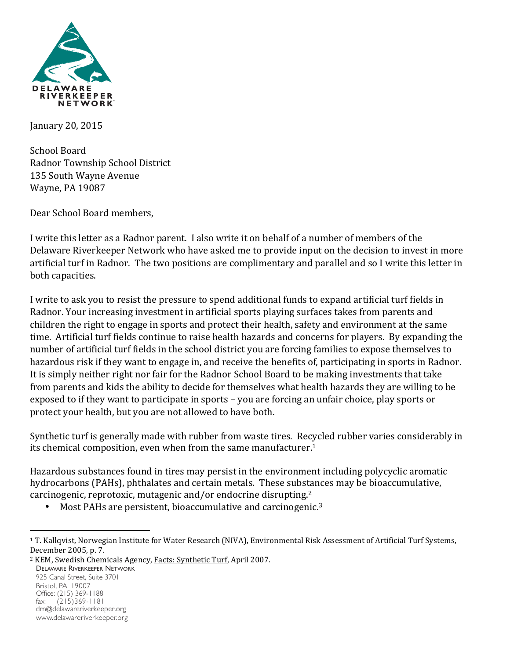

January 20, 2015

School Board Radnor Township School District 135 South Wayne Avenue Wayne, PA 19087

Dear School Board members,

I write this letter as a Radnor parent. I also write it on behalf of a number of members of the Delaware Riverkeeper Network who have asked me to provide input on the decision to invest in more artificial turf in Radnor. The two positions are complimentary and parallel and so I write this letter in both capacities.

I write to ask you to resist the pressure to spend additional funds to expand artificial turf fields in Radnor. Your increasing investment in artificial sports playing surfaces takes from parents and children the right to engage in sports and protect their health, safety and environment at the same time. Artificial turf fields continue to raise health hazards and concerns for players. By expanding the number of artificial turf fields in the school district you are forcing families to expose themselves to hazardous risk if they want to engage in, and receive the benefits of, participating in sports in Radnor. It is simply neither right nor fair for the Radnor School Board to be making investments that take from parents and kids the ability to decide for themselves what health hazards they are willing to be exposed to if they want to participate in sports – you are forcing an unfair choice, play sports or protect your health, but you are not allowed to have both.

Synthetic turf is generally made with rubber from waste tires. Recycled rubber varies considerably in its chemical composition, even when from the same manufacturer.<sup>1</sup>

Hazardous substances found in tires may persist in the environment including polycyclic aromatic hydrocarbons (PAHs), phthalates and certain metals. These substances may be bioaccumulative, carcinogenic, reprotoxic, mutagenic and/or endocrine disrupting.<sup>2</sup>

• Most PAHs are persistent, bioaccumulative and carcinogenic.<sup>3</sup>

DELAWARE RIVERKEEPER NETWORK 925 Canal Street, Suite 3701 Bristol, PA 19007 Office: (215) 369-1188 fax: (215)369-1181 drn@delawareriverkeeper.org www.delawareriverkeeper.org

<sup>&</sup>lt;sup>1</sup> T. Kallqvist, Norwegian Institute for Water Research (NIVA), Environmental Risk Assessment of Artificial Turf Systems, December 2005, p. 7.

<sup>&</sup>lt;sup>2</sup> KEM, Swedish Chemicals Agency, Facts: Synthetic Turf, April 2007.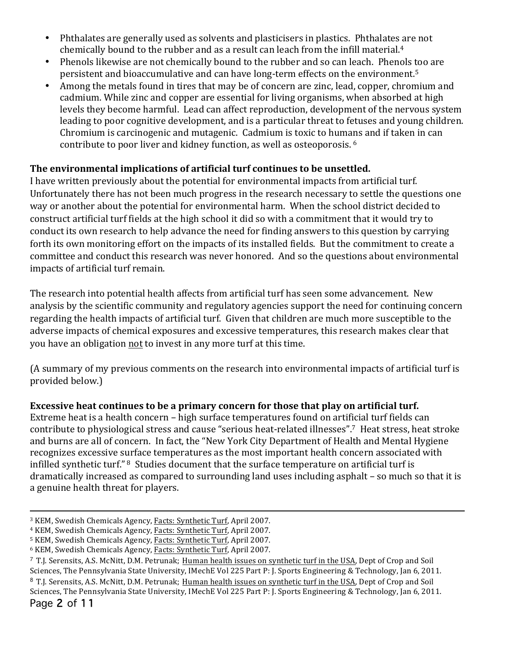- Phthalates are generally used as solvents and plasticisers in plastics. Phthalates are not chemically bound to the rubber and as a result can leach from the infill material.<sup>4</sup>
- Phenols likewise are not chemically bound to the rubber and so can leach. Phenols too are persistent and bioaccumulative and can have long-term effects on the environment.<sup>5</sup>
- Among the metals found in tires that may be of concern are zinc, lead, copper, chromium and cadmium. While zinc and copper are essential for living organisms, when absorbed at high levels they become harmful. Lead can affect reproduction, development of the nervous system leading to poor cognitive development, and is a particular threat to fetuses and young children. Chromium is carcinogenic and mutagenic. Cadmium is toxic to humans and if taken in can contribute to poor liver and kidney function, as well as osteoporosis. <sup>6</sup>

## The environmental implications of artificial turf continues to be unsettled.

I have written previously about the potential for environmental impacts from artificial turf. Unfortunately there has not been much progress in the research necessary to settle the questions one way or another about the potential for environmental harm. When the school district decided to construct artificial turf fields at the high school it did so with a commitment that it would try to conduct its own research to help advance the need for finding answers to this question by carrying forth its own monitoring effort on the impacts of its installed fields. But the commitment to create a committee and conduct this research was never honored. And so the questions about environmental impacts of artificial turf remain.

The research into potential health affects from artificial turf has seen some advancement. New analysis by the scientific community and regulatory agencies support the need for continuing concern regarding the health impacts of artificial turf. Given that children are much more susceptible to the adverse impacts of chemical exposures and excessive temperatures, this research makes clear that you have an obligation not to invest in any more turf at this time.

(A summary of my previous comments on the research into environmental impacts of artificial turf is provided below.)

### **Excessive heat continues to be a primary concern for those that play on artificial turf.**

Extreme heat is a health concern – high surface temperatures found on artificial turf fields can contribute to physiological stress and cause "serious heat-related illnesses".<sup>7</sup> Heat stress, heat stroke and burns are all of concern. In fact, the "New York City Department of Health and Mental Hygiene recognizes excessive surface temperatures as the most important health concern associated with infilled synthetic turf." <sup>8</sup> Studies document that the surface temperature on artificial turf is dramatically increased as compared to surrounding land uses including asphalt – so much so that it is a genuine health threat for players.

Page 2 of 11

<sup>&</sup>lt;sup>3</sup> KEM, Swedish Chemicals Agency, Facts: Synthetic Turf, April 2007.

<sup>&</sup>lt;sup>4</sup> KEM, Swedish Chemicals Agency, Facts: Synthetic Turf, April 2007.

<sup>&</sup>lt;sup>5</sup> KEM, Swedish Chemicals Agency, Facts: Synthetic Turf, April 2007.

<sup>&</sup>lt;sup>6</sup> KEM, Swedish Chemicals Agency, Facts: Synthetic Turf, April 2007.

 $^7$  T.J. Serensits, A.S. McNitt, D.M. Petrunak; Human health issues on synthetic turf in the USA, Dept of Crop and Soil Sciences, The Pennsylvania State University, IMechE Vol 225 Part P: J. Sports Engineering & Technology, Jan 6, 2011. <sup>8</sup> T.J. Serensits, A.S. McNitt, D.M. Petrunak; Human health issues on synthetic turf in the USA, Dept of Crop and Soil Sciences, The Pennsylvania State University, IMechE Vol 225 Part P: J. Sports Engineering & Technology, Jan 6, 2011.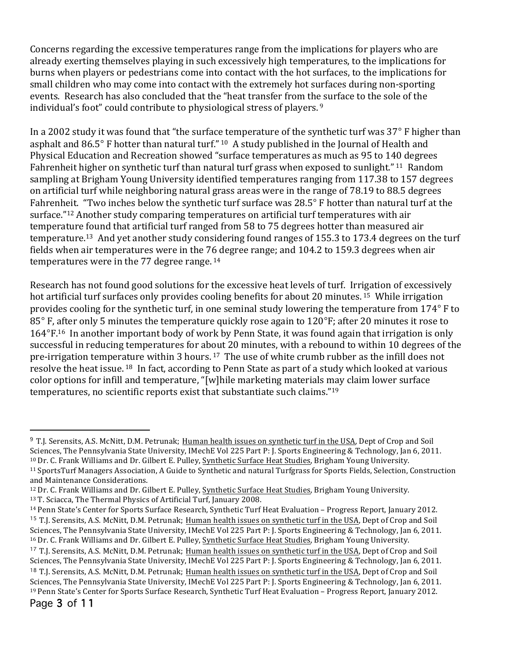Concerns regarding the excessive temperatures range from the implications for players who are already exerting themselves playing in such excessively high temperatures, to the implications for burns when players or pedestrians come into contact with the hot surfaces, to the implications for small children who may come into contact with the extremely hot surfaces during non-sporting events. Research has also concluded that the "heat transfer from the surface to the sole of the individual's foot" could contribute to physiological stress of players. 9

In a 2002 study it was found that "the surface temperature of the synthetic turf was 37° F higher than asphalt and  $86.5^\circ$  F hotter than natural turf." 10 A study published in the Journal of Health and Physical Education and Recreation showed "surface temperatures as much as 95 to 140 degrees Fahrenheit higher on synthetic turf than natural turf grass when exposed to sunlight." <sup>11</sup> Random sampling at Brigham Young University identified temperatures ranging from 117.38 to 157 degrees on artificial turf while neighboring natural grass areas were in the range of 78.19 to 88.5 degrees Fahrenheit. "Two inches below the synthetic turf surface was 28.5° F hotter than natural turf at the surface."<sup>12</sup> Another study comparing temperatures on artificial turf temperatures with air temperature found that artificial turf ranged from 58 to 75 degrees hotter than measured air temperature.<sup>13</sup> And yet another study considering found ranges of 155.3 to 173.4 degrees on the turf fields when air temperatures were in the 76 degree range; and 104.2 to 159.3 degrees when air temperatures were in the  $77$  degree range.  $14$ 

Research has not found good solutions for the excessive heat levels of turf. Irrigation of excessively hot artificial turf surfaces only provides cooling benefits for about 20 minutes. <sup>15</sup> While irrigation provides cooling for the synthetic turf, in one seminal study lowering the temperature from  $174^{\circ}$  F to  $85^\circ$  F, after only 5 minutes the temperature quickly rose again to  $120^\circ$ F; after 20 minutes it rose to  $164^{\circ}$ F.<sup>16</sup> In another important body of work by Penn State, it was found again that irrigation is only successful in reducing temperatures for about 20 minutes, with a rebound to within 10 degrees of the pre-irrigation temperature within 3 hours.  $17$  The use of white crumb rubber as the infill does not resolve the heat issue. <sup>18</sup> In fact, according to Penn State as part of a study which looked at various color options for infill and temperature, "[w]hile marketing materials may claim lower surface temperatures, no scientific reports exist that substantiate such claims."<sup>19</sup>

<sup>&</sup>lt;sup>9</sup> T.J. Serensits, A.S. McNitt, D.M. Petrunak; Human health issues on synthetic turf in the USA, Dept of Crop and Soil Sciences, The Pennsylvania State University, IMechE Vol 225 Part P: J. Sports Engineering & Technology, Jan 6, 2011. <sup>10</sup> Dr. C. Frank Williams and Dr. Gilbert E. Pulley, Synthetic Surface Heat Studies, Brigham Young University.

<sup>&</sup>lt;sup>11</sup> SportsTurf Managers Association, A Guide to Synthetic and natural Turfgrass for Sports Fields, Selection, Construction and Maintenance Considerations.

<sup>&</sup>lt;sup>12</sup> Dr. C. Frank Williams and Dr. Gilbert E. Pulley, Synthetic Surface Heat Studies, Brigham Young University. <sup>13</sup> T. Sciacca, The Thermal Physics of Artificial Turf, January 2008.

<sup>&</sup>lt;sup>14</sup> Penn State's Center for Sports Surface Research, Synthetic Turf Heat Evaluation – Progress Report, January 2012. <sup>15</sup> T.J. Serensits, A.S. McNitt, D.M. Petrunak; Human health issues on synthetic turf in the USA, Dept of Crop and Soil Sciences, The Pennsylvania State University, IMechE Vol 225 Part P: J. Sports Engineering & Technology, Jan 6, 2011. <sup>16</sup> Dr. C. Frank Williams and Dr. Gilbert E. Pulley, Synthetic Surface Heat Studies, Brigham Young University. <sup>17</sup> T.J. Serensits, A.S. McNitt, D.M. Petrunak; Human health issues on synthetic turf in the USA, Dept of Crop and Soil Sciences, The Pennsylvania State University, IMechE Vol 225 Part P: J. Sports Engineering & Technology, Jan 6, 2011. <sup>18</sup> T.J. Serensits, A.S. McNitt, D.M. Petrunak; Human health issues on synthetic turf in the USA, Dept of Crop and Soil

Sciences, The Pennsylvania State University, IMechE Vol 225 Part P: J. Sports Engineering & Technology, Jan 6, 2011. <sup>19</sup> Penn State's Center for Sports Surface Research, Synthetic Turf Heat Evaluation – Progress Report, January 2012.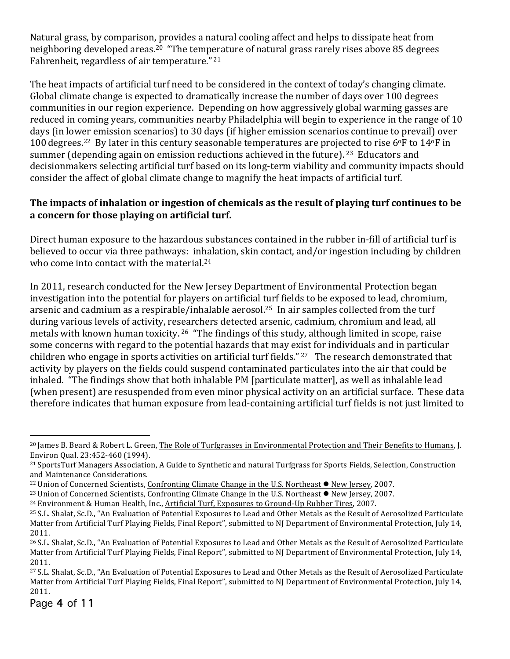Natural grass, by comparison, provides a natural cooling affect and helps to dissipate heat from neighboring developed areas.<sup>20</sup> "The temperature of natural grass rarely rises above 85 degrees Fahrenheit, regardless of air temperature."<sup>21</sup>

The heat impacts of artificial turf need to be considered in the context of today's changing climate. Global climate change is expected to dramatically increase the number of days over 100 degrees communities in our region experience. Depending on how aggressively global warming gasses are reduced in coming years, communities nearby Philadelphia will begin to experience in the range of 10 days (in lower emission scenarios) to 30 days (if higher emission scenarios continue to prevail) over 100 degrees.<sup>22</sup> By later in this century seasonable temperatures are projected to rise 6°F to 14°F in summer (depending again on emission reductions achieved in the future). <sup>23</sup> Educators and decisionmakers selecting artificial turf based on its long-term viability and community impacts should consider the affect of global climate change to magnify the heat impacts of artificial turf.

## The impacts of inhalation or ingestion of chemicals as the result of playing turf continues to be a concern for those playing on artificial turf.

Direct human exposure to the hazardous substances contained in the rubber in-fill of artificial turf is believed to occur via three pathways: inhalation, skin contact, and/or ingestion including by children who come into contact with the material.<sup>24</sup>

In 2011, research conducted for the New Jersey Department of Environmental Protection began investigation into the potential for players on artificial turf fields to be exposed to lead, chromium, arsenic and cadmium as a respirable/inhalable aerosol.<sup>25</sup> In air samples collected from the turf during various levels of activity, researchers detected arsenic, cadmium, chromium and lead, all metals with known human toxicity. <sup>26</sup> "The findings of this study, although limited in scope, raise some concerns with regard to the potential hazards that may exist for individuals and in particular children who engage in sports activities on artificial turf fields."  $27$  The research demonstrated that activity by players on the fields could suspend contaminated particulates into the air that could be inhaled. "The findings show that both inhalable PM [particulate matter], as well as inhalable lead (when present) are resuspended from even minor physical activity on an artificial surface. These data therefore indicates that human exposure from lead-containing artificial turf fields is not just limited to

<sup>&</sup>lt;sup>20</sup> James B. Beard & Robert L. Green, The Role of Turfgrasses in Environmental Protection and Their Benefits to Humans, J. Environ Qual. 23:452-460 (1994).

<sup>&</sup>lt;sup>21</sup> SportsTurf Managers Association, A Guide to Synthetic and natural Turfgrass for Sports Fields, Selection, Construction and Maintenance Considerations.

<sup>&</sup>lt;sup>22</sup> Union of Concerned Scientists, Confronting Climate Change in the U.S. Northeast  $\bullet$  New Jersey, 2007.

<sup>&</sup>lt;sup>23</sup> Union of Concerned Scientists, Confronting Climate Change in the U.S. Northeast  $\bullet$  New Jersey, 2007.

<sup>&</sup>lt;sup>24</sup> Environment & Human Health, Inc., Artificial Turf, Exposures to Ground-Up Rubber Tires, 2007.

<sup>&</sup>lt;sup>25</sup> S.L. Shalat, Sc.D., "An Evaluation of Potential Exposures to Lead and Other Metals as the Result of Aerosolized Particulate Matter from Artificial Turf Playing Fields, Final Report", submitted to NJ Department of Environmental Protection, July 14, 2011.

<sup>&</sup>lt;sup>26</sup> S.L. Shalat, Sc.D., "An Evaluation of Potential Exposures to Lead and Other Metals as the Result of Aerosolized Particulate Matter from Artificial Turf Playing Fields, Final Report", submitted to NJ Department of Environmental Protection, July 14, 2011.

<sup>27</sup> S.L. Shalat, Sc.D., "An Evaluation of Potential Exposures to Lead and Other Metals as the Result of Aerosolized Particulate Matter from Artificial Turf Playing Fields, Final Report", submitted to NJ Department of Environmental Protection, July 14, 2011.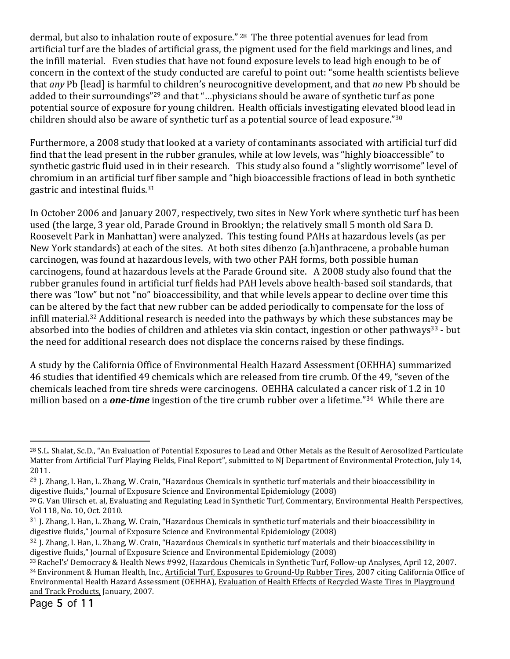dermal, but also to inhalation route of exposure." <sup>28</sup> The three potential avenues for lead from artificial turf are the blades of artificial grass, the pigment used for the field markings and lines, and the infill material. Even studies that have not found exposure levels to lead high enough to be of concern in the context of the study conducted are careful to point out: "some health scientists believe that *any* Pb [lead] is harmful to children's neurocognitive development, and that *no* new Pb should be added to their surroundings"<sup>29</sup> and that "...physicians should be aware of synthetic turf as pone potential source of exposure for young children. Health officials investigating elevated blood lead in children should also be aware of synthetic turf as a potential source of lead exposure."30

Furthermore, a 2008 study that looked at a variety of contaminants associated with artificial turf did find that the lead present in the rubber granules, while at low levels, was "highly bioaccessible" to synthetic gastric fluid used in in their research. This study also found a "slightly worrisome" level of chromium in an artificial turf fiber sample and "high bioaccessible fractions of lead in both synthetic gastric and intestinal fluids.<sup>31</sup>

In October 2006 and January 2007, respectively, two sites in New York where synthetic turf has been used (the large, 3 year old, Parade Ground in Brooklyn; the relatively small 5 month old Sara D. Roosevelt Park in Manhattan) were analyzed. This testing found PAHs at hazardous levels (as per New York standards) at each of the sites. At both sites dibenzo (a.h)anthracene, a probable human carcinogen, was found at hazardous levels, with two other PAH forms, both possible human carcinogens, found at hazardous levels at the Parade Ground site. A 2008 study also found that the rubber granules found in artificial turf fields had PAH levels above health-based soil standards, that there was "low" but not "no" bioaccessibility, and that while levels appear to decline over time this can be altered by the fact that new rubber can be added periodically to compensate for the loss of infill material.<sup>32</sup> Additional research is needed into the pathways by which these substances may be absorbed into the bodies of children and athletes via skin contact, ingestion or other pathways<sup>33</sup> - but the need for additional research does not displace the concerns raised by these findings.

A study by the California Office of Environmental Health Hazard Assessment (OEHHA) summarized 46 studies that identified 49 chemicals which are released from tire crumb. Of the 49, "seven of the chemicals leached from tire shreds were carcinogens. OEHHA calculated a cancer risk of 1.2 in 10 million based on a *one-time* ingestion of the tire crumb rubber over a lifetime."<sup>34</sup> While there are

<sup>&</sup>lt;sup>28</sup> S.L. Shalat, Sc.D., "An Evaluation of Potential Exposures to Lead and Other Metals as the Result of Aerosolized Particulate Matter from Artificial Turf Playing Fields, Final Report", submitted to NJ Department of Environmental Protection, July 14, 2011.

 $29$  J. Zhang, I. Han, L. Zhang, W. Crain, "Hazardous Chemicals in synthetic turf materials and their bioaccessibility in digestive fluids," Iournal of Exposure Science and Environmental Epidemiology (2008)

<sup>30</sup> G. Van Ulirsch et. al, Evaluating and Regulating Lead in Synthetic Turf, Commentary, Environmental Health Perspectives, Vol 118, No. 10, Oct. 2010.

<sup>31</sup> J. Zhang, I. Han, L. Zhang, W. Crain, "Hazardous Chemicals in synthetic turf materials and their bioaccessibility in digestive fluids," Journal of Exposure Science and Environmental Epidemiology (2008)

 $32$  J. Zhang, I. Han, L. Zhang, W. Crain, "Hazardous Chemicals in synthetic turf materials and their bioaccessibility in digestive fluids," Journal of Exposure Science and Environmental Epidemiology (2008)

<sup>33</sup> Rachel's' Democracy & Health News #992, Hazardous Chemicals in Synthetic Turf, Follow-up Analyses, April 12, 2007. 34 Environment & Human Health, Inc., Artificial Turf, Exposures to Ground-Up Rubber Tires, 2007 citing California Office of Environmental Health Hazard Assessment (OEHHA), Evaluation of Health Effects of Recycled Waste Tires in Playground and Track Products, January, 2007.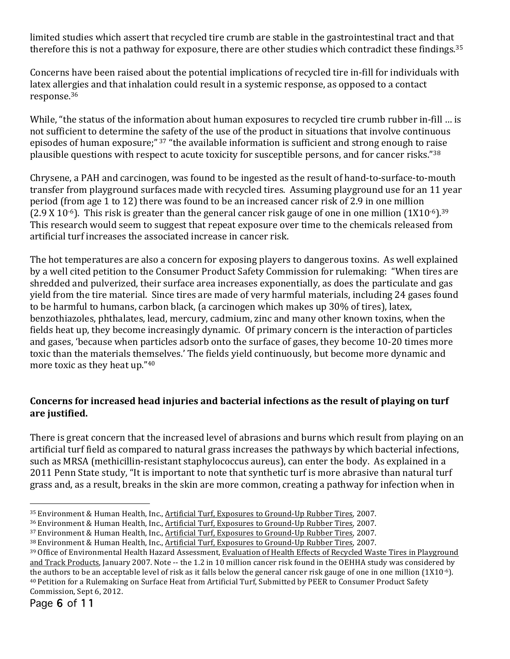limited studies which assert that recycled tire crumb are stable in the gastrointestinal tract and that therefore this is not a pathway for exposure, there are other studies which contradict these findings.<sup>35</sup>

Concerns have been raised about the potential implications of recycled tire in-fill for individuals with latex allergies and that inhalation could result in a systemic response, as opposed to a contact response.36 

While, "the status of the information about human exposures to recycled tire crumb rubber in-fill ... is not sufficient to determine the safety of the use of the product in situations that involve continuous episodes of human exposure;" 37 "the available information is sufficient and strong enough to raise plausible questions with respect to acute toxicity for susceptible persons, and for cancer risks."38

Chrysene, a PAH and carcinogen, was found to be ingested as the result of hand-to-surface-to-mouth transfer from playground surfaces made with recycled tires. Assuming playground use for an 11 year period (from age 1 to 12) there was found to be an increased cancer risk of 2.9 in one million  $(2.9 \text{ X } 10^{-6})$ . This risk is greater than the general cancer risk gauge of one in one million  $(1X10^{-6})$ .<sup>39</sup> This research would seem to suggest that repeat exposure over time to the chemicals released from artificial turf increases the associated increase in cancer risk.

The hot temperatures are also a concern for exposing players to dangerous toxins. As well explained by a well cited petition to the Consumer Product Safety Commission for rulemaking: "When tires are shredded and pulverized, their surface area increases exponentially, as does the particulate and gas yield from the tire material. Since tires are made of very harmful materials, including 24 gases found to be harmful to humans, carbon black, (a carcinogen which makes up 30% of tires), latex, benzothiazoles, phthalates, lead, mercury, cadmium, zinc and many other known toxins, when the fields heat up, they become increasingly dynamic. Of primary concern is the interaction of particles and gases, 'because when particles adsorb onto the surface of gases, they become 10-20 times more toxic than the materials themselves.' The fields yield continuously, but become more dynamic and more toxic as they heat up." $40$ 

## Concerns for increased head injuries and bacterial infections as the result of playing on turf are justified.

There is great concern that the increased level of abrasions and burns which result from playing on an artificial turf field as compared to natural grass increases the pathways by which bacterial infections, such as MRSA (methicillin-resistant staphylococcus aureus), can enter the body. As explained in a 2011 Penn State study, "It is important to note that synthetic turf is more abrasive than natural turf grass and, as a result, breaks in the skin are more common, creating a pathway for infection when in

<sup>&</sup>lt;sup>35</sup> Environment & Human Health, Inc., Artificial Turf, Exposures to Ground-Up Rubber Tires, 2007.

<sup>&</sup>lt;sup>36</sup> Environment & Human Health, Inc., Artificial Turf, Exposures to Ground-Up Rubber Tires, 2007.

<sup>&</sup>lt;sup>37</sup> Environment & Human Health, Inc., Artificial Turf, Exposures to Ground-Up Rubber Tires, 2007.

<sup>38</sup> Environment & Human Health, Inc., Artificial Turf, Exposures to Ground-Up Rubber Tires, 2007.

<sup>39</sup> Office of Environmental Health Hazard Assessment, Evaluation of Health Effects of Recycled Waste Tires in Playground and Track Products, January 2007. Note -- the 1.2 in 10 million cancer risk found in the OEHHA study was considered by the authors to be an acceptable level of risk as it falls below the general cancer risk gauge of one in one million  $(1X10^{-6})$ . <sup>40</sup> Petition for a Rulemaking on Surface Heat from Artificial Turf, Submitted by PEER to Consumer Product Safety Commission, Sept 6, 2012.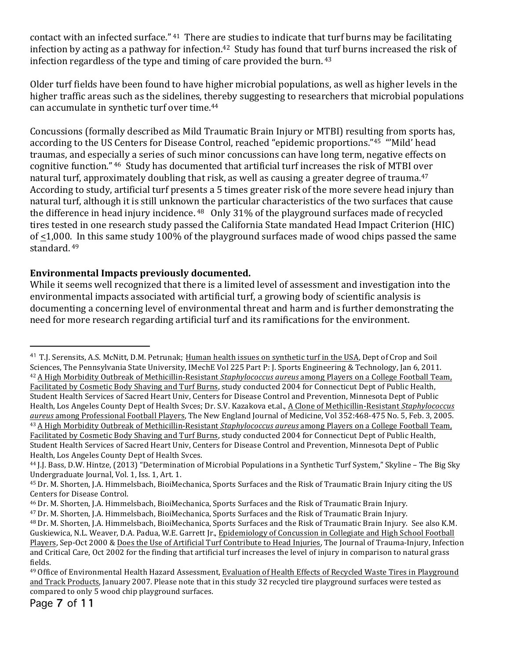contact with an infected surface." <sup>41</sup> There are studies to indicate that turf burns may be facilitating infection by acting as a pathway for infection.<sup>42</sup> Study has found that turf burns increased the risk of infection regardless of the type and timing of care provided the burn.  $43$ 

Older turf fields have been found to have higher microbial populations, as well as higher levels in the higher traffic areas such as the sidelines, thereby suggesting to researchers that microbial populations can accumulate in synthetic turf over time.<sup>44</sup>

Concussions (formally described as Mild Traumatic Brain Injury or MTBI) resulting from sports has, according to the US Centers for Disease Control, reached "epidemic proportions."<sup>45</sup> "'Mild' head traumas, and especially a series of such minor concussions can have long term, negative effects on cognitive function." <sup>46</sup> Study has documented that artificial turf increases the risk of MTBI over natural turf, approximately doubling that risk, as well as causing a greater degree of trauma.<sup>47</sup> According to study, artificial turf presents a 5 times greater risk of the more severe head injury than natural turf, although it is still unknown the particular characteristics of the two surfaces that cause the difference in head injury incidence. <sup>48</sup> Only 31% of the playground surfaces made of recycled tires tested in one research study passed the California State mandated Head Impact Criterion (HIC) of  $\leq$ 1,000. In this same study 100% of the playground surfaces made of wood chips passed the same standard. <sup>49</sup>

## Environmental Impacts previously documented.

While it seems well recognized that there is a limited level of assessment and investigation into the environmental impacts associated with artificial turf, a growing body of scientific analysis is documenting a concerning level of environmental threat and harm and is further demonstrating the need for more research regarding artificial turf and its ramifications for the environment.

<sup>&</sup>lt;sup>41</sup> T.J. Serensits, A.S. McNitt, D.M. Petrunak; Human health issues on synthetic turf in the USA, Dept of Crop and Soil Sciences, The Pennsylvania State University, IMechE Vol 225 Part P: I. Sports Engineering & Technology, Ian 6, 2011. <sup>42</sup> A High Morbidity Outbreak of Methicillin-Resistant *Staphylococcus aureus* among Players on a College Football Team, Facilitated by Cosmetic Body Shaving and Turf Burns, study conducted 2004 for Connecticut Dept of Public Health, Student Health Services of Sacred Heart Univ, Centers for Disease Control and Prevention, Minnesota Dept of Public Health, Los Angeles County Dept of Health Svces; Dr. S.V. Kazakova et.al., A Clone of Methicillin-Resistant *Staphylococcus aureus* among Professional Football Players, The New England Journal of Medicine, Vol 352:468-475 No. 5, Feb. 3, 2005. <sup>43</sup> A High Morbidity Outbreak of Methicillin-Resistant *Staphylococcus aureus* among Players on a College Football Team, Facilitated by Cosmetic Body Shaving and Turf Burns, study conducted 2004 for Connecticut Dept of Public Health,

Student Health Services of Sacred Heart Univ, Centers for Disease Control and Prevention, Minnesota Dept of Public Health, Los Angeles County Dept of Health Syces.

<sup>&</sup>lt;sup>44</sup> J.J. Bass, D.W. Hintze, (2013) "Determination of Microbial Populations in a Synthetic Turf System," Skyline – The Big Sky Undergraduate Journal, Vol. 1, Iss. 1, Art. 1.

<sup>&</sup>lt;sup>45</sup> Dr. M. Shorten, J.A. Himmelsbach, BioiMechanica, Sports Surfaces and the Risk of Traumatic Brain Injury citing the US Centers for Disease Control.

<sup>&</sup>lt;sup>46</sup> Dr. M. Shorten, J.A. Himmelsbach, BioiMechanica, Sports Surfaces and the Risk of Traumatic Brain Injury.

<sup>&</sup>lt;sup>47</sup> Dr. M. Shorten, J.A. Himmelsbach, BioiMechanica, Sports Surfaces and the Risk of Traumatic Brain Injury.

<sup>&</sup>lt;sup>48</sup> Dr. M. Shorten, J.A. Himmelsbach, BioiMechanica, Sports Surfaces and the Risk of Traumatic Brain Injury. See also K.M. Guskiewica, N.L. Weaver, D.A. Padua, W.E. Garrett Jr., Epidemiology of Concussion in Collegiate and High School Football Players, Sep-Oct 2000 & Does the Use of Artificial Turf Contribute to Head Injuries, The Journal of Trauma-Injury, Infection and Critical Care, Oct 2002 for the finding that artificial turf increases the level of injury in comparison to natural grass fields.

<sup>&</sup>lt;sup>49</sup> Office of Environmental Health Hazard Assessment, Evaluation of Health Effects of Recycled Waste Tires in Playground and Track Products, January 2007. Please note that in this study 32 recycled tire playground surfaces were tested as compared to only 5 wood chip playground surfaces.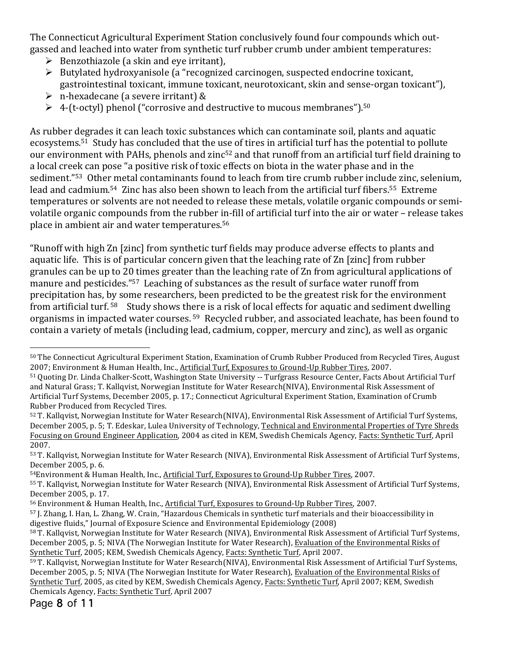The Connecticut Agricultural Experiment Station conclusively found four compounds which outgassed and leached into water from synthetic turf rubber crumb under ambient temperatures:

- $\triangleright$  Benzothiazole (a skin and eve irritant),
- $\triangleright$  Butylated hydroxyanisole (a "recognized carcinogen, suspected endocrine toxicant, gastrointestinal toxicant, immune toxicant, neurotoxicant, skin and sense-organ toxicant"),
- $\triangleright$  n-hexadecane (a severe irritant) &
- $\triangleright$  4-(t-octyl) phenol ("corrosive and destructive to mucous membranes").<sup>50</sup>

As rubber degrades it can leach toxic substances which can contaminate soil, plants and aquatic ecosystems.<sup>51</sup> Study has concluded that the use of tires in artificial turf has the potential to pollute our environment with PAHs, phenols and zinc<sup>52</sup> and that runoff from an artificial turf field draining to a local creek can pose "a positive risk of toxic effects on biota in the water phase and in the sediment."<sup>53</sup> Other metal contaminants found to leach from tire crumb rubber include zinc, selenium, lead and cadmium.<sup>54</sup> Zinc has also been shown to leach from the artificial turf fibers.<sup>55</sup> Extreme temperatures or solvents are not needed to release these metals, volatile organic compounds or semivolatile organic compounds from the rubber in-fill of artificial turf into the air or water – release takes place in ambient air and water temperatures.<sup>56</sup>

"Runoff with high Zn [zinc] from synthetic turf fields may produce adverse effects to plants and aquatic life. This is of particular concern given that the leaching rate of Zn [zinc] from rubber granules can be up to 20 times greater than the leaching rate of Zn from agricultural applications of manure and pesticides."<sup>57</sup> Leaching of substances as the result of surface water runoff from precipitation has, by some researchers, been predicted to be the greatest risk for the environment from artificial turf.  $58$  Study shows there is a risk of local effects for aquatic and sediment dwelling organisms in impacted water courses. <sup>59</sup> Recycled rubber, and associated leachate, has been found to contain a variety of metals (including lead, cadmium, copper, mercury and zinc), as well as organic

54Environment & Human Health, Inc., Artificial Turf, Exposures to Ground-Up Rubber Tires, 2007.

Page 8 of 11

 $\overline{a}$ 50 The Connecticut Agricultural Experiment Station, Examination of Crumb Rubber Produced from Recycled Tires, August 2007; Environment & Human Health, Inc., Artificial Turf, Exposures to Ground-Up Rubber Tires, 2007.

<sup>51</sup> Quoting Dr. Linda Chalker-Scott, Washington State University -- Turfgrass Resource Center, Facts About Artificial Turf and Natural Grass; T. Kallqvist, Norwegian Institute for Water Research(NIVA), Environmental Risk Assessment of Artificial Turf Systems, December 2005, p. 17.; Connecticut Agricultural Experiment Station, Examination of Crumb Rubber Produced from Recycled Tires.

<sup>52</sup> T. Kallqvist, Norwegian Institute for Water Research(NIVA), Environmental Risk Assessment of Artificial Turf Systems, December 2005, p. 5; T. Edeskar, Lulea University of Technology, Technical and Environmental Properties of Tyre Shreds Focusing on Ground Engineer Application, 2004 as cited in KEM, Swedish Chemicals Agency, Facts: Synthetic Turf, April 2007.

<sup>53</sup> T. Kallqvist, Norwegian Institute for Water Research (NIVA), Environmental Risk Assessment of Artificial Turf Systems, December 2005, p. 6.

<sup>55</sup> T. Kallqvist, Norwegian Institute for Water Research (NIVA), Environmental Risk Assessment of Artificial Turf Systems, December 2005, p. 17.

<sup>56</sup> Environment & Human Health, Inc., Artificial Turf, Exposures to Ground-Up Rubber Tires, 2007.

<sup>57</sup> J. Zhang, I. Han, L. Zhang, W. Crain, "Hazardous Chemicals in synthetic turf materials and their bioaccessibility in digestive fluids," Journal of Exposure Science and Environmental Epidemiology (2008)

<sup>58</sup> T. Kallqvist, Norwegian Institute for Water Research (NIVA), Environmental Risk Assessment of Artificial Turf Systems, December 2005, p. 5; NIVA (The Norwegian Institute for Water Research), Evaluation of the Environmental Risks of Synthetic Turf, 2005; KEM, Swedish Chemicals Agency, Facts: Synthetic Turf, April 2007.

<sup>59</sup> T. Kallqvist, Norwegian Institute for Water Research(NIVA), Environmental Risk Assessment of Artificial Turf Systems, December 2005, p. 5; NIVA (The Norwegian Institute for Water Research), Evaluation of the Environmental Risks of Synthetic Turf, 2005, as cited by KEM, Swedish Chemicals Agency, Facts: Synthetic Turf, April 2007; KEM, Swedish Chemicals Agency, Facts: Synthetic Turf, April 2007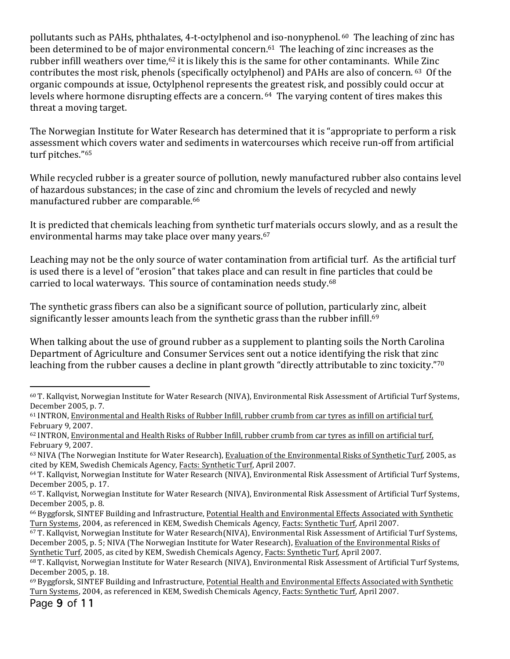pollutants such as PAHs, phthalates, 4-t-octylphenol and iso-nonyphenol. <sup>60</sup> The leaching of zinc has been determined to be of major environmental concern.<sup>61</sup> The leaching of zinc increases as the rubber infill weathers over time,<sup>62</sup> it is likely this is the same for other contaminants. While Zinc contributes the most risk, phenols (specifically octylphenol) and PAHs are also of concern. 63 Of the organic compounds at issue, Octylphenol represents the greatest risk, and possibly could occur at levels where hormone disrupting effects are a concern. <sup>64</sup> The varying content of tires makes this threat a moving target.

The Norwegian Institute for Water Research has determined that it is "appropriate to perform a risk assessment which covers water and sediments in watercourses which receive run-off from artificial turf pitches."65

While recycled rubber is a greater source of pollution, newly manufactured rubber also contains level of hazardous substances; in the case of zinc and chromium the levels of recycled and newly manufactured rubber are comparable.<sup>66</sup>

It is predicted that chemicals leaching from synthetic turf materials occurs slowly, and as a result the environmental harms may take place over many years.<sup>67</sup>

Leaching may not be the only source of water contamination from artificial turf. As the artificial turf is used there is a level of "erosion" that takes place and can result in fine particles that could be carried to local waterways. This source of contamination needs study. $68$ 

The synthetic grass fibers can also be a significant source of pollution, particularly zinc, albeit significantly lesser amounts leach from the synthetic grass than the rubber infill.<sup>69</sup>

When talking about the use of ground rubber as a supplement to planting soils the North Carolina Department of Agriculture and Consumer Services sent out a notice identifying the risk that zinc leaching from the rubber causes a decline in plant growth "directly attributable to zinc toxicity."<sup>70</sup>

 $60$  T. Kallqvist, Norwegian Institute for Water Research (NIVA), Environmental Risk Assessment of Artificial Turf Systems, December 2005, p. 7.

 $61$  INTRON, Environmental and Health Risks of Rubber Infill, rubber crumb from car tyres as infill on artificial turf, February 9, 2007.

 $62$  INTRON, Environmental and Health Risks of Rubber Infill, rubber crumb from car tyres as infill on artificial turf, February 9, 2007. 

<sup>63</sup> NIVA (The Norwegian Institute for Water Research), Evaluation of the Environmental Risks of Synthetic Turf, 2005, as cited by KEM, Swedish Chemicals Agency, Facts: Synthetic Turf, April 2007.

<sup>64</sup> T. Kallqvist, Norwegian Institute for Water Research (NIVA), Environmental Risk Assessment of Artificial Turf Systems, December 2005, p. 17.

<sup>&</sup>lt;sup>65</sup> T. Kallqvist, Norwegian Institute for Water Research (NIVA), Environmental Risk Assessment of Artificial Turf Systems, December 2005, p. 8.

<sup>&</sup>lt;sup>66</sup> Byggforsk, SINTEF Building and Infrastructure, Potential Health and Environmental Effects Associated with Synthetic Turn Systems, 2004, as referenced in KEM, Swedish Chemicals Agency, Facts: Synthetic Turf, April 2007.

 $67$  T. Kallqvist, Norwegian Institute for Water Research(NIVA), Environmental Risk Assessment of Artificial Turf Systems, December 2005, p. 5; NIVA (The Norwegian Institute for Water Research), Evaluation of the Environmental Risks of Synthetic Turf, 2005, as cited by KEM, Swedish Chemicals Agency, Facts: Synthetic Turf, April 2007.

 $68$  T. Kallqvist, Norwegian Institute for Water Research (NIVA), Environmental Risk Assessment of Artificial Turf Systems, December 2005, p. 18.

 $69$  Byggforsk, SINTEF Building and Infrastructure, Potential Health and Environmental Effects Associated with Synthetic Turn Systems, 2004, as referenced in KEM, Swedish Chemicals Agency, Facts: Synthetic Turf, April 2007.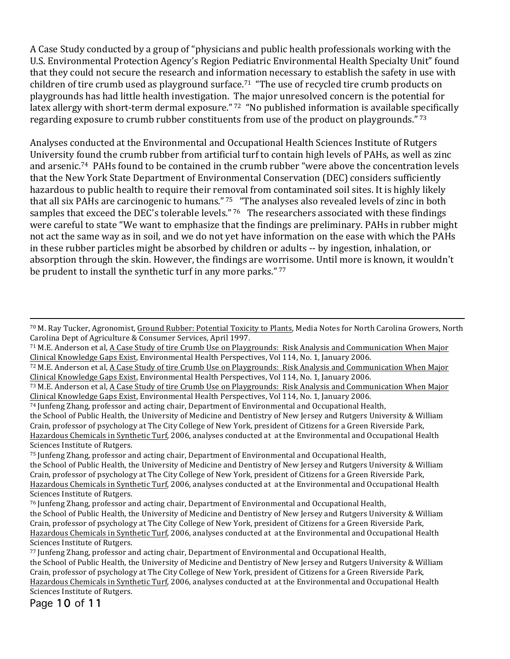A Case Study conducted by a group of "physicians and public health professionals working with the U.S. Environmental Protection Agency's Region Pediatric Environmental Health Specialty Unit" found that they could not secure the research and information necessary to establish the safety in use with children of tire crumb used as playground surface.<sup>71</sup> "The use of recycled tire crumb products on playgrounds has had little health investigation. The major unresolved concern is the potential for latex allergy with short-term dermal exposure." 72 "No published information is available specifically regarding exposure to crumb rubber constituents from use of the product on playgrounds."  $73$ 

Analyses conducted at the Environmental and Occupational Health Sciences Institute of Rutgers University found the crumb rubber from artificial turf to contain high levels of PAHs, as well as zinc and arsenic.<sup>74</sup> PAHs found to be contained in the crumb rubber "were above the concentration levels that the New York State Department of Environmental Conservation (DEC) considers sufficiently hazardous to public health to require their removal from contaminated soil sites. It is highly likely that all six PAHs are carcinogenic to humans." <sup>75</sup> "The analyses also revealed levels of zinc in both samples that exceed the DEC's tolerable levels." 76 The researchers associated with these findings were careful to state "We want to emphasize that the findings are preliminary. PAHs in rubber might not act the same way as in soil, and we do not yet have information on the ease with which the PAHs in these rubber particles might be absorbed by children or adults -- by ingestion, inhalation, or absorption through the skin. However, the findings are worrisome. Until more is known, it wouldn't be prudent to install the synthetic turf in any more parks."  $77$ 

75 Junfeng Zhang, professor and acting chair, Department of Environmental and Occupational Health, the School of Public Health, the University of Medicine and Dentistry of New Jersey and Rutgers University & William Crain, professor of psychology at The City College of New York, president of Citizens for a Green Riverside Park, Hazardous Chemicals in Synthetic Turf, 2006, analyses conducted at at the Environmental and Occupational Health Sciences Institute of Rutgers.

Page 10 of 11

<sup>70</sup> M. Ray Tucker, Agronomist, Ground Rubber: Potential Toxicity to Plants, Media Notes for North Carolina Growers, North Carolina Dept of Agriculture & Consumer Services, April 1997.

 $71$  M.E. Anderson et al, A Case Study of tire Crumb Use on Playgrounds: Risk Analysis and Communication When Major Clinical Knowledge Gaps Exist, Environmental Health Perspectives, Vol 114, No. 1, January 2006.

<sup>72</sup> M.E. Anderson et al, A Case Study of tire Crumb Use on Playgrounds: Risk Analysis and Communication When Major Clinical Knowledge Gaps Exist, Environmental Health Perspectives, Vol 114, No. 1, January 2006.

<sup>73</sup> M.E. Anderson et al, A Case Study of tire Crumb Use on Playgrounds: Risk Analysis and Communication When Major Clinical Knowledge Gaps Exist, Environmental Health Perspectives, Vol 114, No. 1, January 2006.

 $74$  Junfeng Zhang, professor and acting chair, Department of Environmental and Occupational Health,

the School of Public Health, the University of Medicine and Dentistry of New Jersey and Rutgers University & William Crain, professor of psychology at The City College of New York, president of Citizens for a Green Riverside Park, Hazardous Chemicals in Synthetic Turf, 2006, analyses conducted at at the Environmental and Occupational Health Sciences Institute of Rutgers.

<sup>76</sup> Junfeng Zhang, professor and acting chair, Department of Environmental and Occupational Health, the School of Public Health, the University of Medicine and Dentistry of New Jersey and Rutgers University & William Crain, professor of psychology at The City College of New York, president of Citizens for a Green Riverside Park, Hazardous Chemicals in Synthetic Turf, 2006, analyses conducted at at the Environmental and Occupational Health Sciences Institute of Rutgers.

<sup>77</sup> Junfeng Zhang, professor and acting chair, Department of Environmental and Occupational Health, the School of Public Health, the University of Medicine and Dentistry of New Jersey and Rutgers University & William Crain, professor of psychology at The City College of New York, president of Citizens for a Green Riverside Park, Hazardous Chemicals in Synthetic Turf, 2006, analyses conducted at at the Environmental and Occupational Health Sciences Institute of Rutgers.